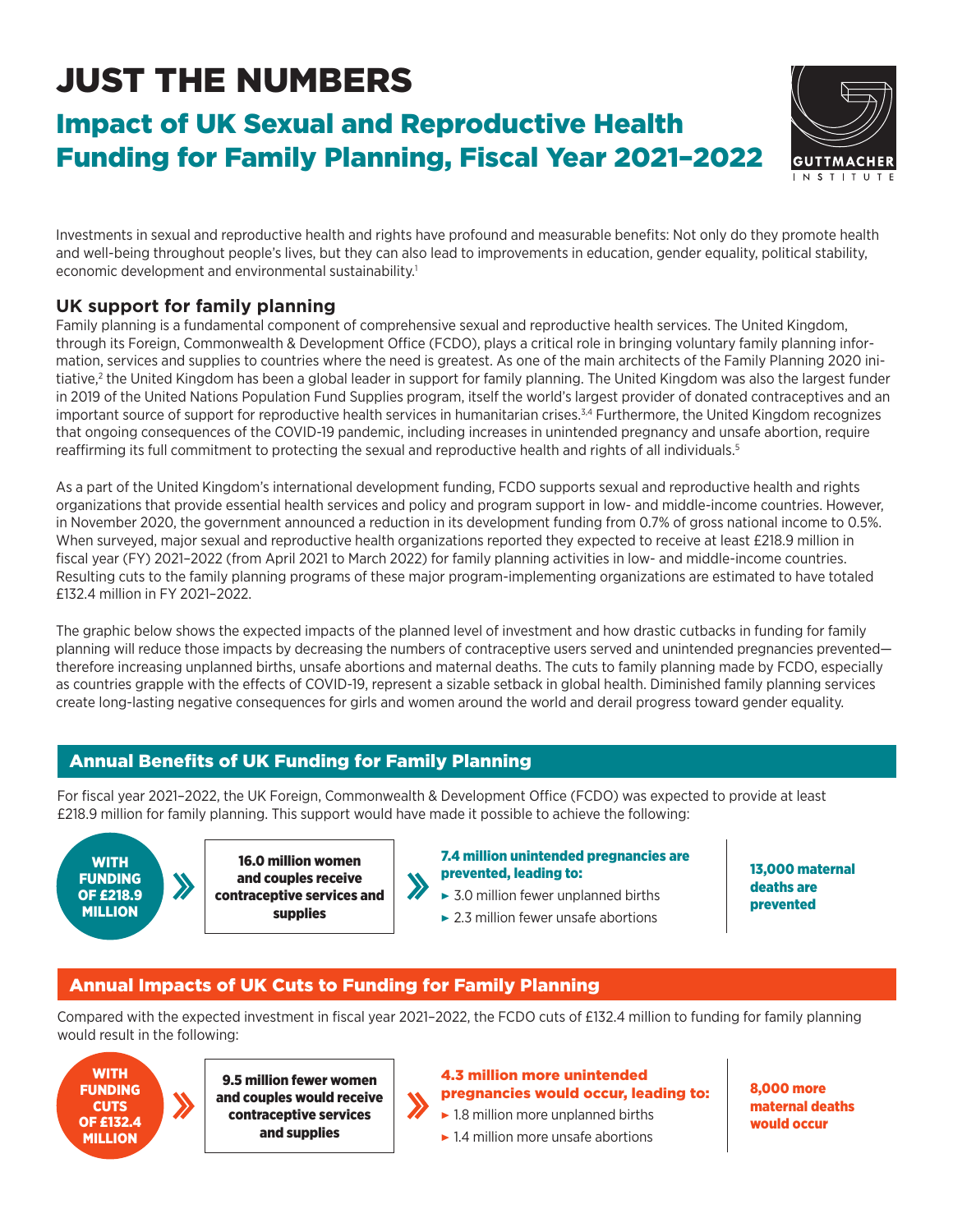# JUST THE NUMBERS

# Impact of UK Sexual and Reproductive Health Funding for Family Planning, Fiscal Year 2021–2022



Investments in sexual and reproductive health and rights have profound and measurable benefits: Not only do they promote health and well-being throughout people's lives, but they can also lead to improvements in education, gender equality, political stability, economic development and environmental sustainability.<sup>1</sup>

## **UK support for family planning**

Family planning is a fundamental component of comprehensive sexual and reproductive health services. The United Kingdom, through its Foreign, Commonwealth & Development Office (FCDO), plays a critical role in bringing voluntary family planning information, services and supplies to countries where the need is greatest. As one of the main architects of the Family Planning 2020 initiative,<sup>2</sup> the United Kingdom has been a global leader in support for family planning. The United Kingdom was also the largest funder in 2019 of the United Nations Population Fund Supplies program, itself the world's largest provider of donated contraceptives and an important source of support for reproductive health services in humanitarian crises. $34$  Furthermore, the United Kingdom recognizes that ongoing consequences of the COVID-19 pandemic, including increases in unintended pregnancy and unsafe abortion, require reaffirming its full commitment to protecting the sexual and reproductive health and rights of all individuals.5

As a part of the United Kingdom's international development funding, FCDO supports sexual and reproductive health and rights organizations that provide essential health services and policy and program support in low- and middle-income countries. However, in November 2020, the government announced a reduction in its development funding from 0.7% of gross national income to 0.5%. When surveyed, major sexual and reproductive health organizations reported they expected to receive at least £218.9 million in fiscal year (FY) 2021–2022 (from April 2021 to March 2022) for family planning activities in low- and middle-income countries. Resulting cuts to the family planning programs of these major program-implementing organizations are estimated to have totaled £132.4 million in FY 2021–2022.

The graphic below shows the expected impacts of the planned level of investment and how drastic cutbacks in funding for family planning will reduce those impacts by decreasing the numbers of contraceptive users served and unintended pregnancies prevented therefore increasing unplanned births, unsafe abortions and maternal deaths. The cuts to family planning made by FCDO, especially as countries grapple with the effects of COVID-19, represent a sizable setback in global health. Diminished family planning services create long-lasting negative consequences for girls and women around the world and derail progress toward gender equality.

# Annual Benefits of UK Funding for Family Planning

For fiscal year 2021–2022, the UK Foreign, Commonwealth & Development Office (FCDO) was expected to provide at least £218.9 million for family planning. This support would have made it possible to achieve the following:

 $\boldsymbol{\lambda}$ 



16.0 million women and couples receive contraceptive services and supplies

7.4 million unintended pregnancies are prevented, leading to:

- $\triangleright$  3.0 million fewer unplanned births
- $\blacktriangleright$  2.3 million fewer unsafe abortions

13,000 maternal deaths are prevented

### Annual Impacts of UK Cuts to Funding for Family Planning

Compared with the expected investment in fiscal year 2021–2022, the FCDO cuts of £132.4 million to funding for family planning would result in the following:



9.5 million fewer women and couples would receive contraceptive services and supplies

#### 4.3 million more unintended pregnancies would occur, leading to:

 $\blacktriangleright$  1.8 million more unplanned births

 $\blacktriangleright$  1.4 million more unsafe abortions

8,000 more maternal deaths would occur